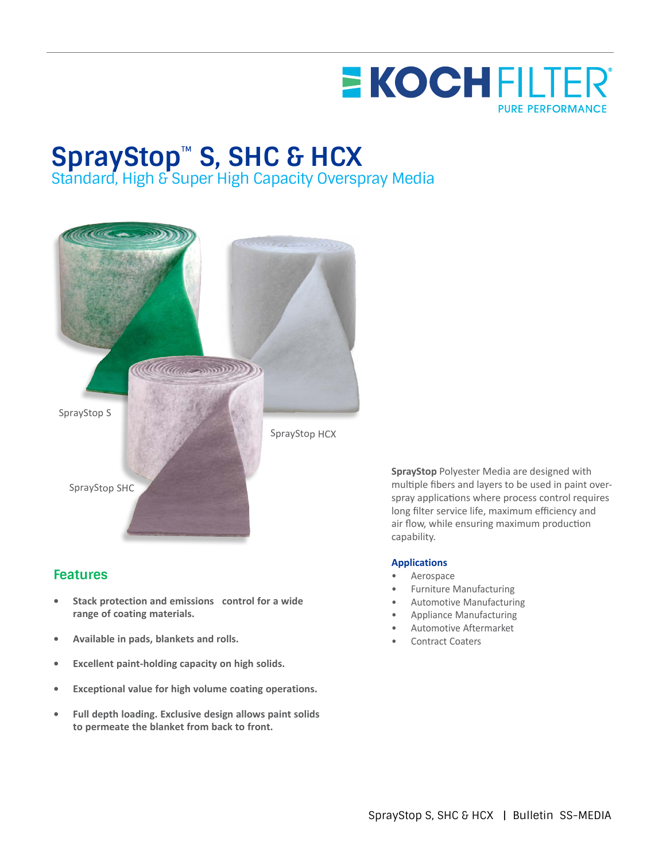

## **SprayStop**™ **S, SHC & HCX**

Standard, High & Super High Capacity Overspray Media



## **Features**

- **• Stack protection and emissions control for a wide range of coating materials.**
- **• Available in pads, blankets and rolls.**
- **• Excellent paint-holding capacity on high solids.**
- **• Exceptional value for high volume coating operations.**
- **• Full depth loading. Exclusive design allows paint solids to permeate the blanket from back to front.**

**SprayStop** Polyester Media are designed with multiple fibers and layers to be used in paint overspray applications where process control requires long filter service life, maximum efficiency and air flow, while ensuring maximum production capability.

## **Applications**

- **Aerospace**
- Furniture Manufacturing
- Automotive Manufacturing
- Appliance Manufacturing
- Automotive Aftermarket
- Contract Coaters